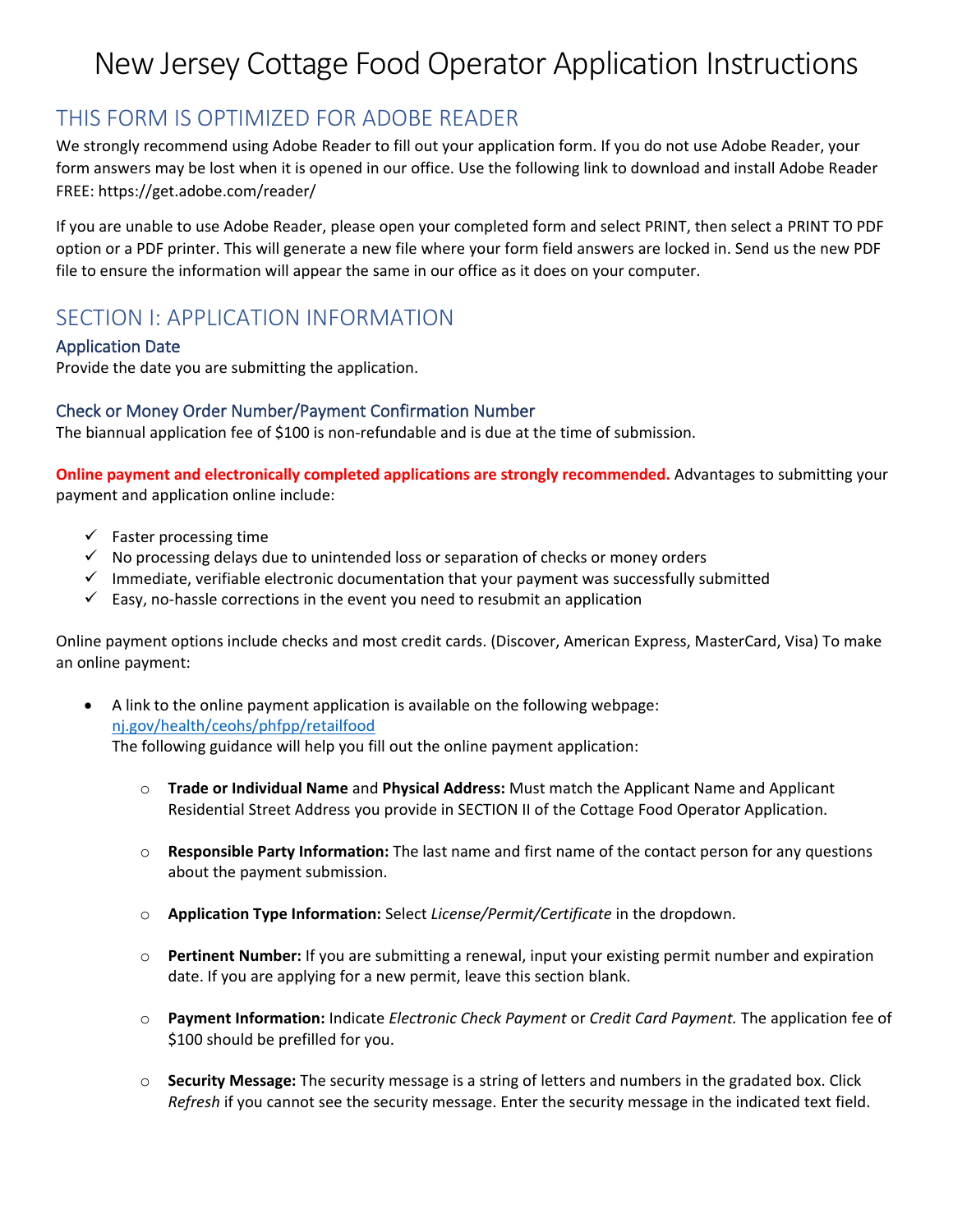# New Jersey Cottage Food Operator Application Instructions

# THIS FORM IS OPTIMIZED FOR ADOBE READER

We strongly recommend using Adobe Reader to fill out your application form. If you do not use Adobe Reader, your form answers may be lost when it is opened in our office. Use the following link to download and install Adobe Reader FREE: https://get.adobe.com/reader/

If you are unable to use Adobe Reader, please open your completed form and select PRINT, then select a PRINT TO PDF option or a PDF printer. This will generate a new file where your form field answers are locked in. Send us the new PDF file to ensure the information will appear the same in our office as it does on your computer.

# SECTION I: APPLICATION INFORMATION

### Application Date

Provide the date you are submitting the application.

### Check or Money Order Number/Payment Confirmation Number

The biannual application fee of \$100 is non-refundable and is due at the time of submission.

**Online payment and electronically completed applications are strongly recommended.** Advantages to submitting your payment and application online include:

- $\checkmark$  Faster processing time
- ✓ No processing delays due to unintended loss or separation of checks or money orders
- $\checkmark$  Immediate, verifiable electronic documentation that your payment was successfully submitted
- $\checkmark$  Easy, no-hassle corrections in the event you need to resubmit an application

Online payment options include checks and most credit cards. (Discover, American Express, MasterCard, Visa) To make an online payment:

- A link to the online payment application is available on the following webpage: [nj.gov/health/ceohs/phfpp/retailfood](https://nj.gov/health/ceohs/phfpp/retailfood/cottagefood.shtml) The following guidance will help you fill out the online payment application:
	- o **Trade or Individual Name** and **Physical Address:** Must match the Applicant Name and Applicant Residential Street Address you provide in SECTION II of the Cottage Food Operator Application.
	- o **Responsible Party Information:** The last name and first name of the contact person for any questions about the payment submission.
	- o **Application Type Information:** Select *License/Permit/Certificate* in the dropdown.
	- o **Pertinent Number:** If you are submitting a renewal, input your existing permit number and expiration date. If you are applying for a new permit, leave this section blank.
	- o **Payment Information:** Indicate *Electronic Check Payment* or *Credit Card Payment.* The application fee of \$100 should be prefilled for you.
	- o **Security Message:** The security message is a string of letters and numbers in the gradated box. Click *Refresh* if you cannot see the security message. Enter the security message in the indicated text field.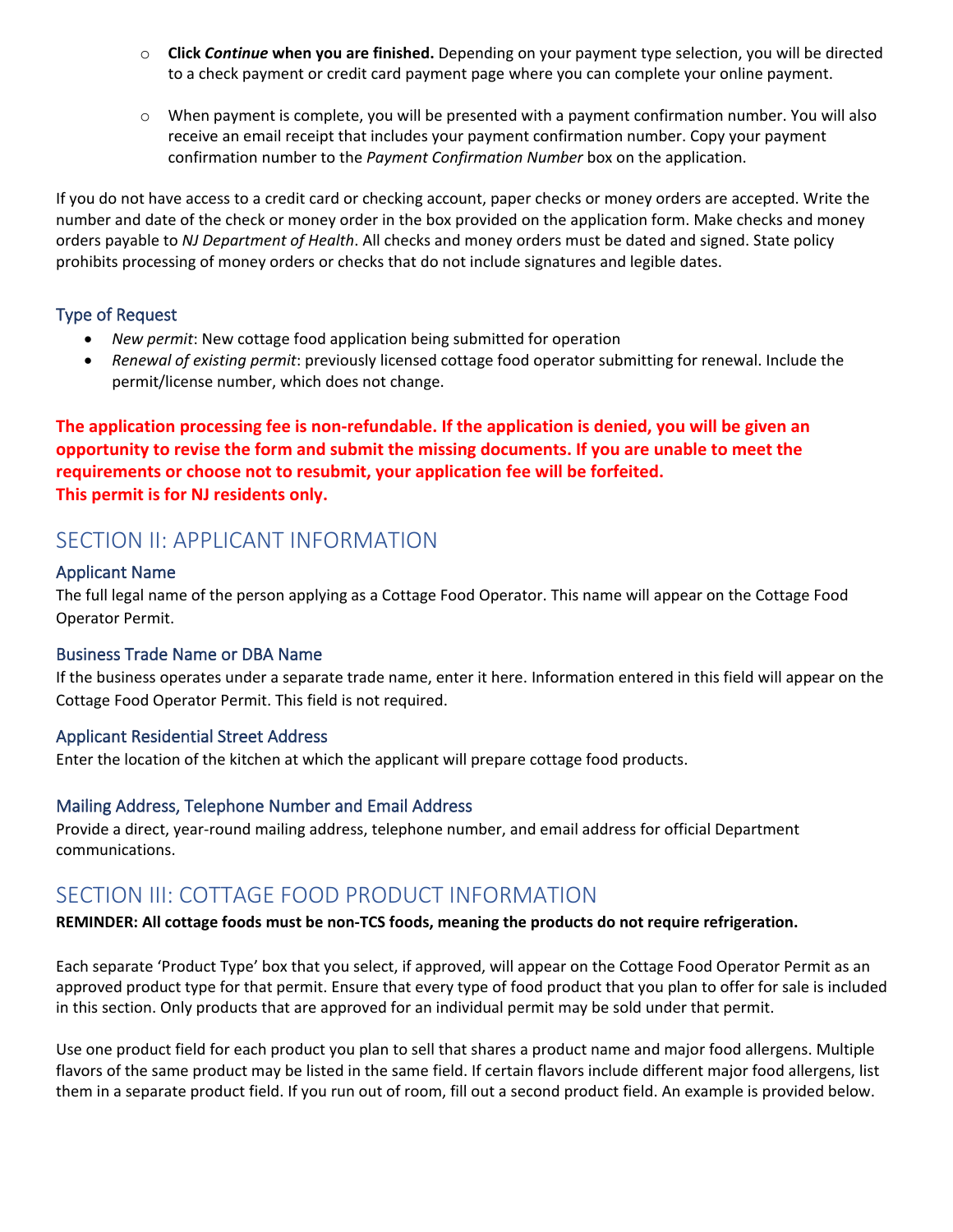- o **Click** *Continue* **when you are finished.** Depending on your payment type selection, you will be directed to a check payment or credit card payment page where you can complete your online payment.
- o When payment is complete, you will be presented with a payment confirmation number. You will also receive an email receipt that includes your payment confirmation number. Copy your payment confirmation number to the *Payment Confirmation Number* box on the application.

If you do not have access to a credit card or checking account, paper checks or money orders are accepted. Write the number and date of the check or money order in the box provided on the application form. Make checks and money orders payable to *NJ Department of Health*. All checks and money orders must be dated and signed. State policy prohibits processing of money orders or checks that do not include signatures and legible dates.

### Type of Request

- *New permit*: New cottage food application being submitted for operation
- *Renewal of existing permit*: previously licensed cottage food operator submitting for renewal. Include the permit/license number, which does not change.

**The application processing fee is non-refundable. If the application is denied, you will be given an opportunity to revise the form and submit the missing documents. If you are unable to meet the requirements or choose not to resubmit, your application fee will be forfeited. This permit is for NJ residents only.**

# SECTION II: APPLICANT INFORMATION

### Applicant Name

The full legal name of the person applying as a Cottage Food Operator. This name will appear on the Cottage Food Operator Permit.

### Business Trade Name or DBA Name

If the business operates under a separate trade name, enter it here. Information entered in this field will appear on the Cottage Food Operator Permit. This field is not required.

# Applicant Residential Street Address

Enter the location of the kitchen at which the applicant will prepare cottage food products.

# Mailing Address, Telephone Number and Email Address

Provide a direct, year-round mailing address, telephone number, and email address for official Department communications.

# SECTION III: COTTAGE FOOD PRODUCT INFORMATION

### **REMINDER: All cottage foods must be non-TCS foods, meaning the products do not require refrigeration.**

Each separate 'Product Type' box that you select, if approved, will appear on the Cottage Food Operator Permit as an approved product type for that permit. Ensure that every type of food product that you plan to offer for sale is included in this section. Only products that are approved for an individual permit may be sold under that permit.

Use one product field for each product you plan to sell that shares a product name and major food allergens. Multiple flavors of the same product may be listed in the same field. If certain flavors include different major food allergens, list them in a separate product field. If you run out of room, fill out a second product field. An example is provided below.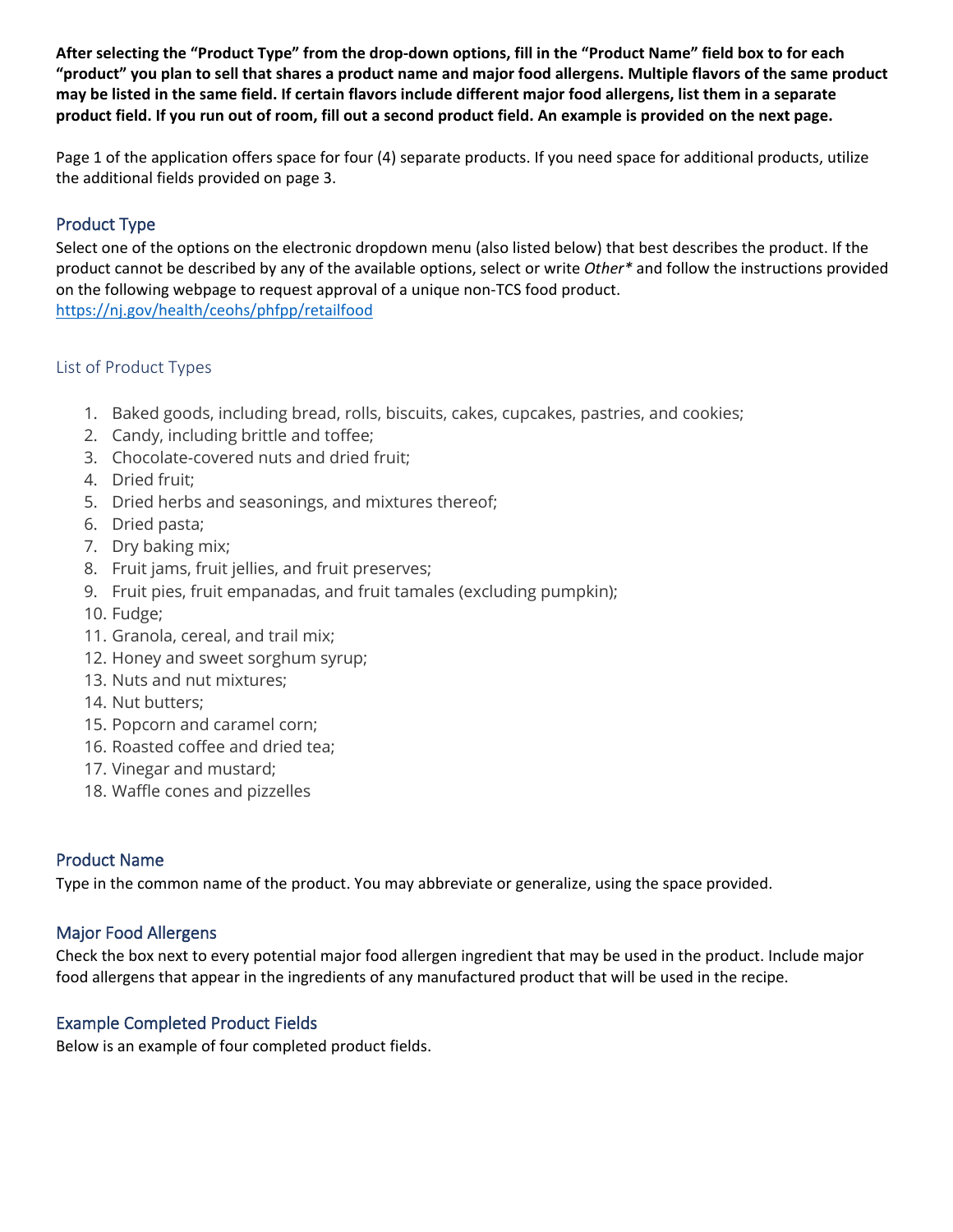**After selecting the "Product Type" from the drop-down options, fill in the "Product Name" field box to for each "product" you plan to sell that shares a product name and major food allergens. Multiple flavors of the same product may be listed in the same field. If certain flavors include different major food allergens, list them in a separate product field. If you run out of room, fill out a second product field. An example is provided on the next page.** 

Page 1 of the application offers space for four (4) separate products. If you need space for additional products, utilize the additional fields provided on page 3.

# Product Type

Select one of the options on the electronic dropdown menu (also listed below) that best describes the product. If the product cannot be described by any of the available options, select or write *Other\** and follow the instructions provided on the following webpage to request approval of a unique non-TCS food product. <https://nj.gov/health/ceohs/phfpp/retailfood>

### List of Product Types

- 1. Baked goods, including bread, rolls, biscuits, cakes, cupcakes, pastries, and cookies;
- 2. Candy, including brittle and toffee;
- 3. Chocolate-covered nuts and dried fruit;
- 4. Dried fruit;
- 5. Dried herbs and seasonings, and mixtures thereof;
- 6. Dried pasta;
- 7. Dry baking mix;
- 8. Fruit jams, fruit jellies, and fruit preserves;
- 9. Fruit pies, fruit empanadas, and fruit tamales (excluding pumpkin);
- 10. Fudge;
- 11. Granola, cereal, and trail mix;
- 12. Honey and sweet sorghum syrup;
- 13. Nuts and nut mixtures;
- 14. Nut butters;
- 15. Popcorn and caramel corn;
- 16. Roasted coffee and dried tea;
- 17. Vinegar and mustard;
- 18. Waffle cones and pizzelles

# Product Name

Type in the common name of the product. You may abbreviate or generalize, using the space provided.

### Major Food Allergens

Check the box next to every potential major food allergen ingredient that may be used in the product. Include major food allergens that appear in the ingredients of any manufactured product that will be used in the recipe.

### Example Completed Product Fields

Below is an example of four completed product fields.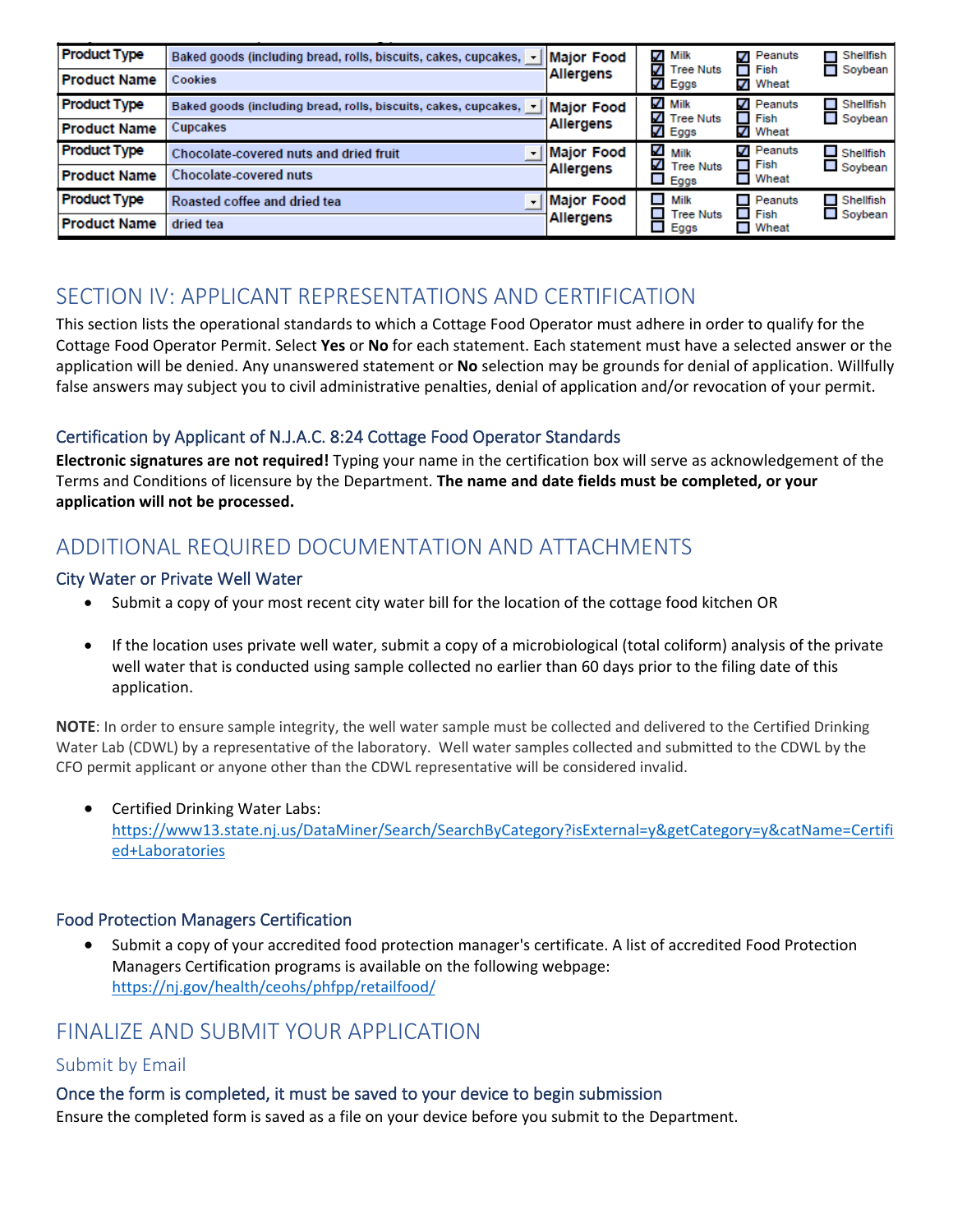| <b>Product Type</b> | Baked goods (including bread, rolls, biscuits, cakes, cupcakes, $\rightarrow$    | Major Food              | $\boldsymbol{V}$<br>Milk<br>✓<br><b>Tree Nuts</b>                         | Peanuts<br>$\boldsymbol{J}$<br>Fish<br>$\blacksquare$ | $\blacksquare$ Shellfish<br>Soybean |
|---------------------|----------------------------------------------------------------------------------|-------------------------|---------------------------------------------------------------------------|-------------------------------------------------------|-------------------------------------|
| <b>Product Name</b> | Cookies                                                                          | Allergens               | $\sqrt{ }$ Eggs                                                           | ✔ Wheat                                               |                                     |
| <b>Product Type</b> | Baked goods (including bread, rolls, biscuits, cakes, cupcakes, [ -   Major Food |                         | $\sqrt{ }$ Milk<br>V<br><b>Tree Nuts</b>                                  | $\sqrt{}$ Peanuts<br>Fish                             | $\Box$ Shellfish<br>$\Box$ Soybean  |
| <b>Product Name</b> | Cupcakes                                                                         | Allergens               | ✔<br>Eggs                                                                 | ✔ Wheat                                               |                                     |
| <b>Product Type</b> | Chocolate-covered nuts and dried fruit                                           | Major Food<br>Allergens | ✓<br>Milk<br>✓<br><b>Tree Nuts</b><br>$\mathcal{L}_{\mathcal{A}}$<br>Eggs | Peanuts<br>J<br>$\Box$ Fish<br>$\Box$ Wheat           | $\Box$ Shellfish<br>$\Box$ Soybean  |
| <b>Product Name</b> | <b>Chocolate-covered nuts</b>                                                    |                         |                                                                           |                                                       |                                     |
| <b>Product Type</b> | Roasted coffee and dried tea                                                     | Major Food<br>Allergens | $\mathcal{L}_{\mathcal{A}}$<br>Milk<br>$\blacksquare$<br><b>Tree Nuts</b> | Peanuts<br>$\blacksquare$<br>$\blacksquare$ Fish      | $\Box$ Shellfish                    |
| <b>Product Name</b> | dried tea                                                                        |                         | Eggs                                                                      | $\Box$ Wheat                                          | $\Box$ Soybean                      |

# SECTION IV: APPLICANT REPRESENTATIONS AND CERTIFICATION

This section lists the operational standards to which a Cottage Food Operator must adhere in order to qualify for the Cottage Food Operator Permit. Select **Yes** or **No** for each statement. Each statement must have a selected answer or the application will be denied. Any unanswered statement or **No** selection may be grounds for denial of application. Willfully false answers may subject you to civil administrative penalties, denial of application and/or revocation of your permit.

# Certification by Applicant of N.J.A.C. 8:24 Cottage Food Operator Standards

**Electronic signatures are not required!** Typing your name in the certification box will serve as acknowledgement of the Terms and Conditions of licensure by the Department. **The name and date fields must be completed, or your application will not be processed.**

# ADDITIONAL REQUIRED DOCUMENTATION AND ATTACHMENTS

### City Water or Private Well Water

- Submit a copy of your most recent city water bill for the location of the cottage food kitchen OR
- If the location uses private well water, submit a copy of a microbiological (total coliform) analysis of the private well water that is conducted using sample collected no earlier than 60 days prior to the filing date of this application.

**NOTE**: In order to ensure sample integrity, the well water sample must be collected and delivered to the Certified Drinking Water Lab (CDWL) by a representative of the laboratory. Well water samples collected and submitted to the CDWL by the CFO permit applicant or anyone other than the CDWL representative will be considered invalid.

• Certified Drinking Water Labs: [https://www13.state.nj.us/DataMiner/Search/SearchByCategory?isExternal=y&getCategory=y&catName=Certifi](https://www13.state.nj.us/DataMiner/Search/SearchByCategory?isExternal=y&getCategory=y&catName=Certified+Laboratories) [ed+Laboratories](https://www13.state.nj.us/DataMiner/Search/SearchByCategory?isExternal=y&getCategory=y&catName=Certified+Laboratories)

# Food Protection Managers Certification

• Submit a copy of your accredited food protection manager's certificate. A list of accredited Food Protection Managers Certification programs is available on the following webpage: <https://nj.gov/health/ceohs/phfpp/retailfood/>

# FINALIZE AND SUBMIT YOUR APPLICATION

# Submit by Email

# Once the form is completed, it must be saved to your device to begin submission

Ensure the completed form is saved as a file on your device before you submit to the Department.